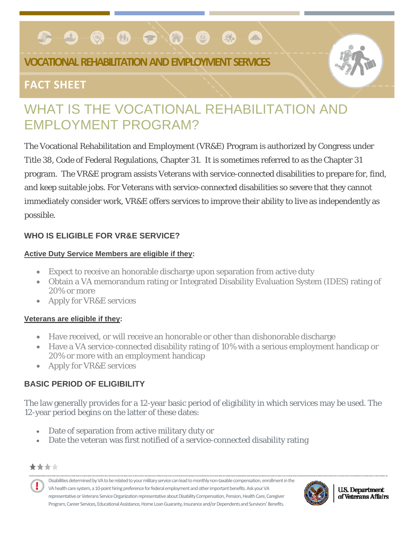#### **C-9-0-M-0-2-0-0** 哪 Bo.

## **VOCATIONAL REHABILITATION AND EMPLOYMENT SERVICES**

## **FACT SHEET**

# WHAT IS THE VOCATIONAL REHABILITATION AND EMPLOYMENT PROGRAM?

The Vocational Rehabilitation and Employment (VR&E) Program is authorized by Congress under Title 38, Code of Federal Regulations, Chapter 31. It is sometimes referred to as the Chapter 31 program. The VR&E program assists Veterans with service-connected disabilities to prepare for, find, and keep suitable jobs. For Veterans with service-connected disabilities so severe that they cannot immediately consider work, VR&E offers services to improve their ability to live as independently as possible.

#### **WHO IS ELIGIBLE FOR VR&E SERVICE?**

#### **Active Duty Service Members are eligible if they:**

- Expect to receive an honorable discharge upon separation from active duty
- Obtain a VA memorandum rating or Integrated Disability Evaluation System (IDES) rating of 20% or more
- Apply for VR&E services

#### **Veterans are eligible if they:**

- Have received, or will receive an honorable or other than dishonorable discharge
- Have a VA service-connected disability rating of 10% with a serious employment handicap or 20% or more with an employment handicap
- Apply for VR&E services

### **BASIC PERIOD OF ELIGIBILITY**

The law generally provides for a 12-year basic period of eligibility in which services may be used. The 12-year period begins on the latter of these dates:

- Date of separation from active military duty or
- Date the veteran was first notified of a service-connected disability rating

\*\*\*\*





**U.S. Department** of Veterans Affairs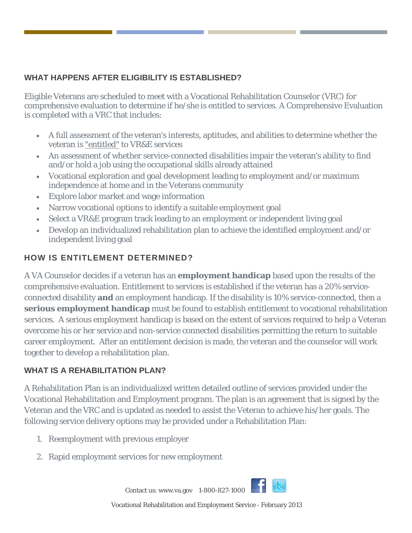#### **WHAT HAPPENS AFTER ELIGIBILITY IS ESTABLISHED?**

Eligible Veterans are scheduled to meet with a Vocational Rehabilitation Counselor (VRC) for comprehensive evaluation to determine if he/she is entitled to services. A Comprehensive Evaluation is completed with a VRC that includes:

- A full assessment of the veteran's interests, aptitudes, and abilities to determine whether the veteran is "entitled" to VR&E services
- An assessment of whether service-connected disabilities impair the veteran's ability to find and/or hold a job using the occupational skills already attained
- Vocational exploration and goal development leading to employment and/or maximum independence at home and in the Veterans community
- Explore labor market and wage information
- Narrow vocational options to identify a suitable employment goal
- Select a VR&E program track leading to an employment or independent living goal
- Develop an individualized rehabilitation plan to achieve the identified employment and/or independent living goal

#### **HOW IS ENTITLEMENT DETERMINED?**

A VA Counselor decides if a veteran has an **[employment handicap](http://www.vetsuccess.gov/which_track_is_right_for_me#emphandicap)** based upon the results of the comprehensive evaluation. Entitlement to services is established if the veteran has a 20% serviceconnected disability **and** an employment handicap. If the disability is 10% service-connected, then a **[serious employment handicap](http://www.vetsuccess.gov/which_track_is_right_for_me#serious)** must be found to establish entitlement to vocational rehabilitation services. A serious employment handicap is based on the extent of services required to help a Veteran overcome his or her service and non-service connected disabilities permitting the return to suitable career employment. After an entitlement decision is made, the veteran and the counselor will work together to develop a rehabilitation plan.

#### **WHAT IS A REHABILITATION PLAN?**

A Rehabilitation Plan is an individualized written detailed outline of services provided under the Vocational Rehabilitation and Employment program. The plan is an agreement that is signed by the Veteran and the VRC and is updated as needed to assist the Veteran to achieve his/her goals. The following service delivery options may be provided under a Rehabilitation Plan:

- 1. [Reemployment with previous employer](http://www.vetsuccess.gov/which_track_is_right_for_me)
- 2. [Rapid employment services for new employment](http://www.vetsuccess.gov/which_track_is_right_for_me)

Contact us: www.va.gov 1-800-827-1000



Vocational Rehabilitation and Employment Service - February 2013